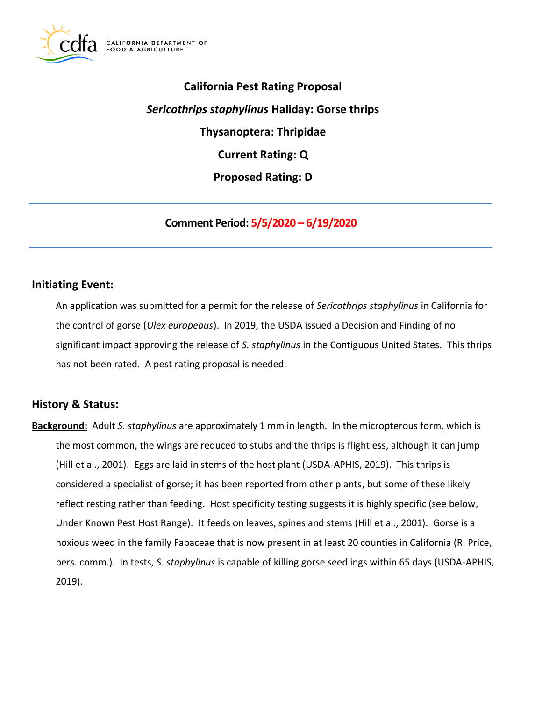

# **California Pest Rating Proposal Current Rating: Q**  *Sericothrips staphylinus* **Haliday: Gorse thrips Thysanoptera: Thripidae Proposed Rating: D**

**Comment Period: 5/5/2020 – 6/19/2020**

# **Initiating Event:**

 An application was submitted for a permit for the release of *Sericothrips staphylinus* in California for the control of gorse (*Ulex europeaus*). In 2019, the USDA issued a Decision and Finding of no significant impact approving the release of *S. staphylinus* in the Contiguous United States. This thrips has not been rated. A pest rating proposal is needed.

# **History & Status:**

 **Background:** Adult *S. staphylinus* are approximately 1 mm in length. In the micropterous form, which is the most common, the wings are reduced to stubs and the thrips is flightless, although it can jump (Hill et al., 2001). Eggs are laid in stems of the host plant (USDA-APHIS, 2019). This thrips is considered a specialist of gorse; it has been reported from other plants, but some of these likely reflect resting rather than feeding. Host specificity testing suggests it is highly specific (see below, Under Known Pest Host Range). It feeds on leaves, spines and stems (Hill et al., 2001). Gorse is a noxious weed in the family Fabaceae that is now present in at least 20 counties in California (R. Price, pers. comm.). In tests, *S. staphylinus* is capable of killing gorse seedlings within 65 days (USDA-APHIS, 2019).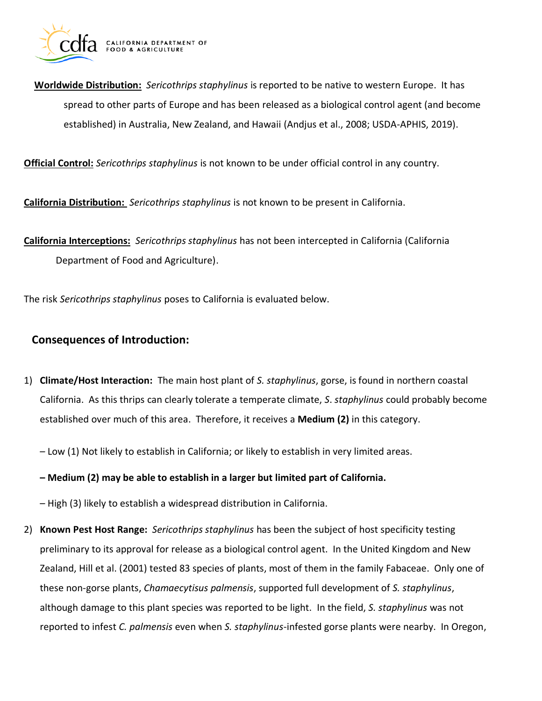

 **Worldwide Distribution:** *Sericothrips staphylinus* is reported to be native to western Europe. It has spread to other parts of Europe and has been released as a biological control agent (and become established) in Australia, New Zealand, and Hawaii (Andjus et al., 2008; USDA-APHIS, 2019).

**Official Control:** *Sericothrips staphylinus* is not known to be under official control in any country.

**California Distribution:** *Sericothrips staphylinus* is not known to be present in California.

 **California Interceptions:** *Sericothrips staphylinus* has not been intercepted in California (California Department of Food and Agriculture).

The risk *Sericothrips staphylinus* poses to California is evaluated below.

# **Consequences of Introduction:**

 1) **Climate/Host Interaction:** The main host plant of *S. staphylinus*, gorse, is found in northern coastal California. As this thrips can clearly tolerate a temperate climate, *S*. *staphylinus* could probably become established over much of this area. Therefore, it receives a **Medium (2)** in this category.

– Low (1) Not likely to establish in California; or likely to establish in very limited areas.

 **– Medium (2) may be able to establish in a larger but limited part of California.** 

– High (3) likely to establish a widespread distribution in California.

 2) **Known Pest Host Range:** *Sericothrips staphylinus* has been the subject of host specificity testing preliminary to its approval for release as a biological control agent. In the United Kingdom and New Zealand, Hill et al. (2001) tested 83 species of plants, most of them in the family Fabaceae. Only one of these non-gorse plants, *Chamaecytisus palmensis*, supported full development of *S. staphylinus*, although damage to this plant species was reported to be light. In the field, *S. staphylinus* was not reported to infest *C. palmensis* even when *S. staphylinus*-infested gorse plants were nearby. In Oregon,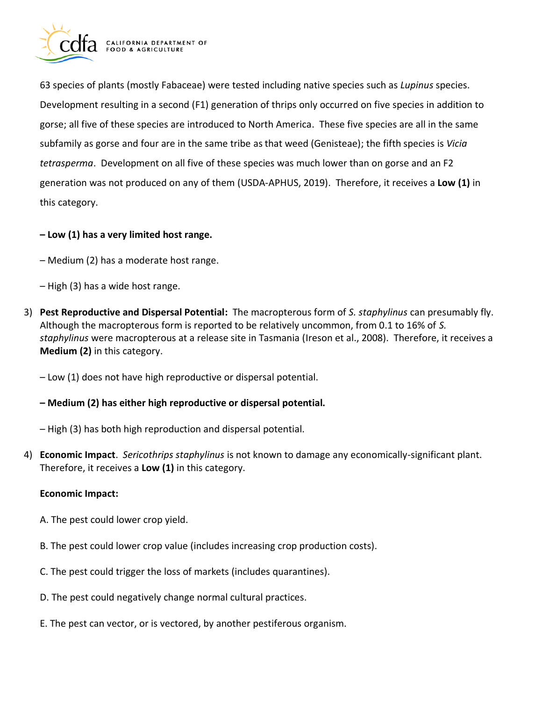

 63 species of plants (mostly Fabaceae) were tested including native species such as *Lupinus* species. Development resulting in a second (F1) generation of thrips only occurred on five species in addition to gorse; all five of these species are introduced to North America. These five species are all in the same subfamily as gorse and four are in the same tribe as that weed (Genisteae); the fifth species is *Vicia tetrasperma*. Development on all five of these species was much lower than on gorse and an F2 generation was not produced on any of them (USDA-APHUS, 2019). Therefore, it receives a **Low (1)** in this category.

# **– Low (1) has a very limited host range.**

- Medium (2) has a moderate host range.
- High (3) has a wide host range.
- 3) **Pest Reproductive and Dispersal Potential:** The macropterous form of *S. staphylinus* can presumably fly. Although the macropterous form is reported to be relatively uncommon, from 0.1 to 16% of *S. staphylinus* were macropterous at a release site in Tasmania (Ireson et al., 2008). Therefore, it receives a **Medium (2)** in this category.
	- Low (1) does not have high reproductive or dispersal potential.

## **– Medium (2) has either high reproductive or dispersal potential.**

– High (3) has both high reproduction and dispersal potential.

 4) **Economic Impact**. *Sericothrips staphylinus* is not known to damage any economically-significant plant. Therefore, it receives a **Low (1)** in this category.

#### **Economic Impact:**

- A. The pest could lower crop yield.
- B. The pest could lower crop value (includes increasing crop production costs).
- C. The pest could trigger the loss of markets (includes quarantines).
- D. The pest could negatively change normal cultural practices.
- E. The pest can vector, or is vectored, by another pestiferous organism.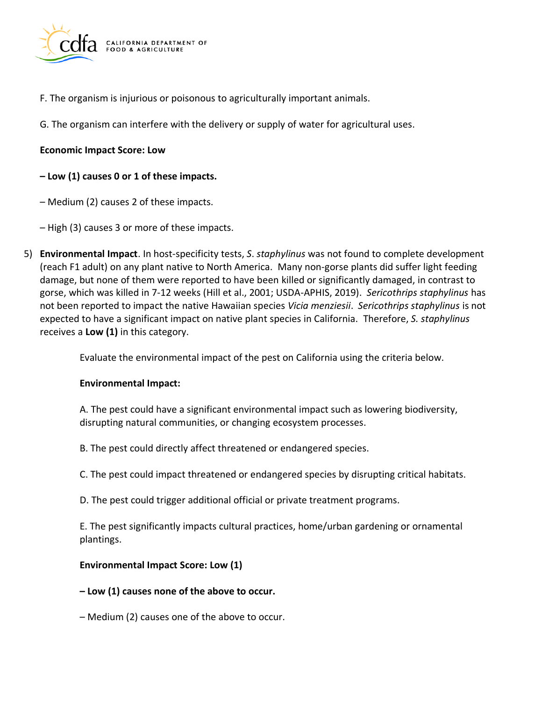

- F. The organism is injurious or poisonous to agriculturally important animals.
- G. The organism can interfere with the delivery or supply of water for agricultural uses.

#### **Economic Impact Score: Low**

## **– Low (1) causes 0 or 1 of these impacts.**

- Medium (2) causes 2 of these impacts.
- High (3) causes 3 or more of these impacts.
- 5) **Environmental Impact**. In host-specificity tests, *S*. *staphylinus* was not found to complete development (reach F1 adult) on any plant native to North America. Many non-gorse plants did suffer light feeding damage, but none of them were reported to have been killed or significantly damaged, in contrast to gorse, which was killed in 7-12 weeks (Hill et al., 2001; USDA-APHIS, 2019). *Sericothrips staphylinus* has not been reported to impact the native Hawaiian species *Vicia menziesii*. *Sericothrips staphylinus* is not expected to have a significant impact on native plant species in California. Therefore, *S. staphylinus*  receives a **Low (1)** in this category.

Evaluate the environmental impact of the pest on California using the criteria below.

#### **Environmental Impact:**

 A. The pest could have a significant environmental impact such as lowering biodiversity, disrupting natural communities, or changing ecosystem processes.

- B. The pest could directly affect threatened or endangered species.
- C. The pest could impact threatened or endangered species by disrupting critical habitats.
- D. The pest could trigger additional official or private treatment programs.

 E. The pest significantly impacts cultural practices, home/urban gardening or ornamental plantings.

#### **Environmental Impact Score: Low (1)**

#### **– Low (1) causes none of the above to occur.**

– Medium (2) causes one of the above to occur.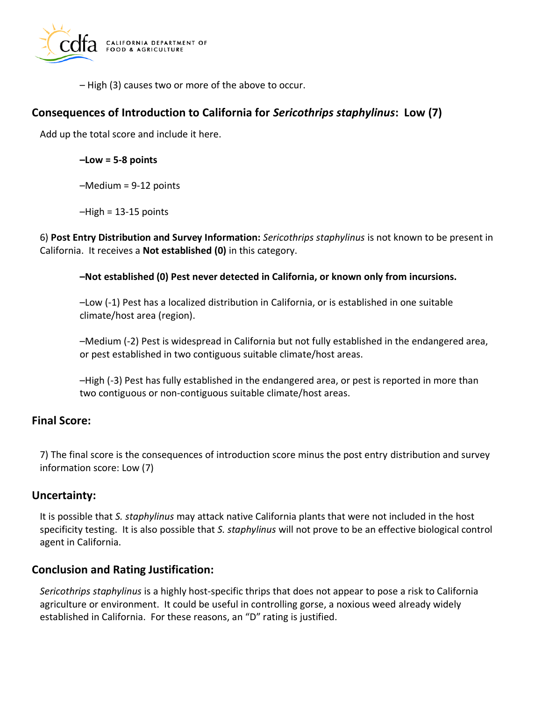

– High (3) causes two or more of the above to occur.

# **Consequences of Introduction to California for** *Sericothrips staphylinus***: Low (7)**

Add up the total score and include it here.

**–Low = 5-8 points** 

–Medium = 9-12 points

 $-High = 13-15$  points

 6) **Post Entry Distribution and Survey Information:** *Sericothrips staphylinus* is not known to be present in California. It receives a **Not established (0)** in this category.

#### **–Not established (0) Pest never detected in California, or known only from incursions.**

 –Low (-1) Pest has a localized distribution in California, or is established in one suitable climate/host area (region).

 –Medium (-2) Pest is widespread in California but not fully established in the endangered area, or pest established in two contiguous suitable climate/host areas.

 –High (-3) Pest has fully established in the endangered area, or pest is reported in more than two contiguous or non-contiguous suitable climate/host areas.

## **Final Score:**

 7) The final score is the consequences of introduction score minus the post entry distribution and survey information score: Low (7)

# **Uncertainty:**

 specificity testing. It is also possible that *S. staphylinus* will not prove to be an effective biological control agent in California. It is possible that *S. staphylinus* may attack native California plants that were not included in the host

# **Conclusion and Rating Justification:**

 *Sericothrips staphylinus* is a highly host-specific thrips that does not appear to pose a risk to California agriculture or environment. It could be useful in controlling gorse, a noxious weed already widely established in California. For these reasons, an "D" rating is justified.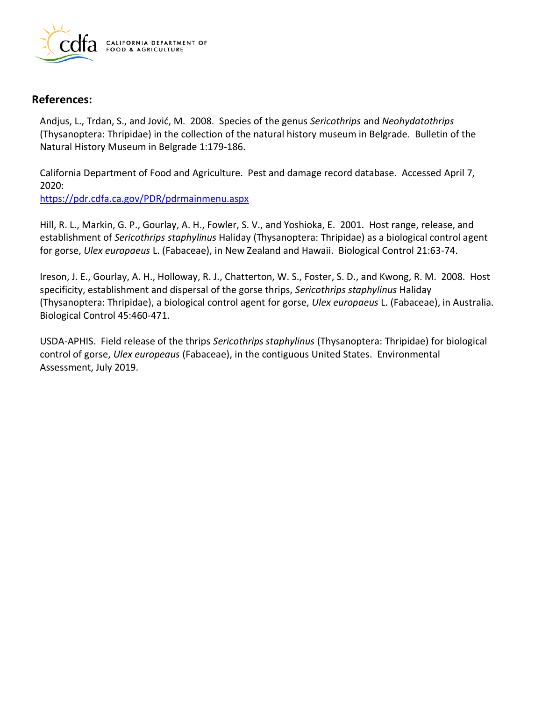

## **References:**

 Andjus, L., Trdan, S., and Jović, M. 2008. Species of the genus *Sericothrips* and *Neohydatothrips*  (Thysanoptera: Thripidae) in the collection of the natural history museum in Belgrade. Bulletin of the Natural History Museum in Belgrade 1:179-186.

 California Department of Food and Agriculture. Pest and damage record database. Accessed April 7, 2020:

<https://pdr.cdfa.ca.gov/PDR/pdrmainmenu.aspx>

 establishment of *Sericothrips staphylinus* Haliday (Thysanoptera: Thripidae) as a biological control agent for gorse, *Ulex europaeus* L. (Fabaceae), in New Zealand and Hawaii. Biological Control 21:63-74. Hill, R. L., Markin, G. P., Gourlay, A. H., Fowler, S. V., and Yoshioka, E. 2001. Host range, release, and

 Ireson, J. E., Gourlay, A. H., Holloway, R. J., Chatterton, W. S., Foster, S. D., and Kwong, R. M. 2008. Host specificity, establishment and dispersal of the gorse thrips, *Sericothrips staphylinus* Haliday (Thysanoptera: Thripidae), a biological control agent for gorse, *Ulex europaeus* L. (Fabaceae), in Australia. Biological Control 45:460-471.

 USDA-APHIS. Field release of the thrips *Sericothrips staphylinus* (Thysanoptera: Thripidae) for biological control of gorse, *Ulex europeaus* (Fabaceae), in the contiguous United States. Environmental Assessment, July 2019.